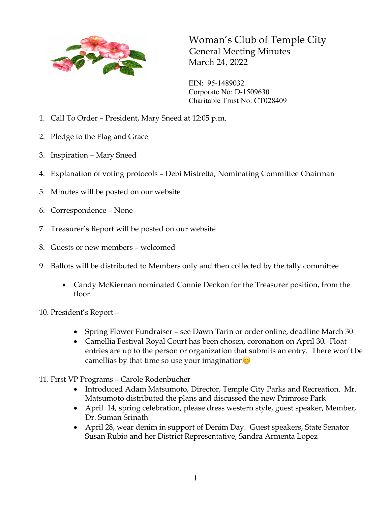

Woman's Club of Temple City General Meeting Minutes March 24, 2022

EIN: 95-1489032 Corporate No: D-1509630 Charitable Trust No: CT028409

- 1. Call To Order President, Mary Sneed at 12:05 p.m.
- 2. Pledge to the Flag and Grace
- 3. Inspiration Mary Sneed
- 4. Explanation of voting protocols Debi Mistretta, Nominating Committee Chairman
- 5. Minutes will be posted on our website
- 6. Correspondence None
- 7. Treasurer's Report will be posted on our website
- 8. Guests or new members welcomed
- 9. Ballots will be distributed to Members only and then collected by the tally committee
	- Candy McKiernan nominated Connie Deckon for the Treasurer position, from the floor.
- 10. President's Report
	- Spring Flower Fundraiser see Dawn Tarin or order online, deadline March 30
	- Camellia Festival Royal Court has been chosen, coronation on April 30. Float entries are up to the person or organization that submits an entry. There won't be camellias by that time so use your imagination $\circledcirc$
- 11. First VP Programs Carole Rodenbucher
	- Introduced Adam Matsumoto, Director, Temple City Parks and Recreation. Mr. Matsumoto distributed the plans and discussed the new Primrose Park
	- April 14, spring celebration, please dress western style, guest speaker, Member, Dr. Suman Srinath
	- April 28, wear denim in support of Denim Day. Guest speakers, State Senator Susan Rubio and her District Representative, Sandra Armenta Lopez